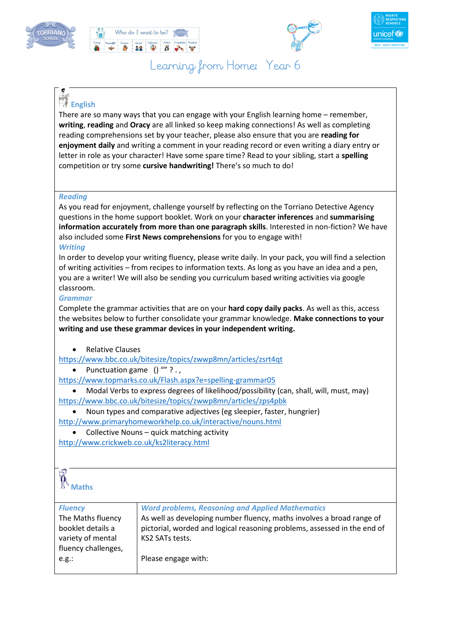







## **English**

There are so many ways that you can engage with your English learning home – remember, **writing**, **reading** and **Oracy** are all linked so keep making connections! As well as completing reading comprehensions set by your teacher, please also ensure that you are **reading for enjoyment daily** and writing a comment in your reading record or even writing a diary entry or letter in role as your character! Have some spare time? Read to your sibling, start a **spelling** competition or try some **cursive handwriting!** There's so much to do!

#### *Reading*

As you read for enjoyment, challenge yourself by reflecting on the Torriano Detective Agency questions in the home support booklet. Work on your **character inferences** and **summarising information accurately from more than one paragraph skills**. Interested in non-fiction? We have also included some **First News comprehensions** for you to engage with!

#### *Writing*

In order to develop your writing fluency, please write daily. In your pack, you will find a selection of writing activities – from recipes to information texts. As long as you have an idea and a pen, you are a writer! We will also be sending you curriculum based writing activities via google classroom.

#### *Grammar*

Complete the grammar activities that are on your **hard copy daily packs**. As well as this, access the websites below to further consolidate your grammar knowledge. **Make connections to your writing and use these grammar devices in your independent writing.**

Relative Clauses

<https://www.bbc.co.uk/bitesize/topics/zwwp8mn/articles/zsrt4qt>

Punctuation game () ""?.,

<https://www.topmarks.co.uk/Flash.aspx?e=spelling-grammar05>

 Modal Verbs to express degrees of likelihood/possibility (can, shall, will, must, may) <https://www.bbc.co.uk/bitesize/topics/zwwp8mn/articles/zps4pbk>

Noun types and comparative adjectives (eg sleepier, faster, hungrier)

<http://www.primaryhomeworkhelp.co.uk/interactive/nouns.html>

Collective Nouns – quick matching activity

<http://www.crickweb.co.uk/ks2literacy.html>

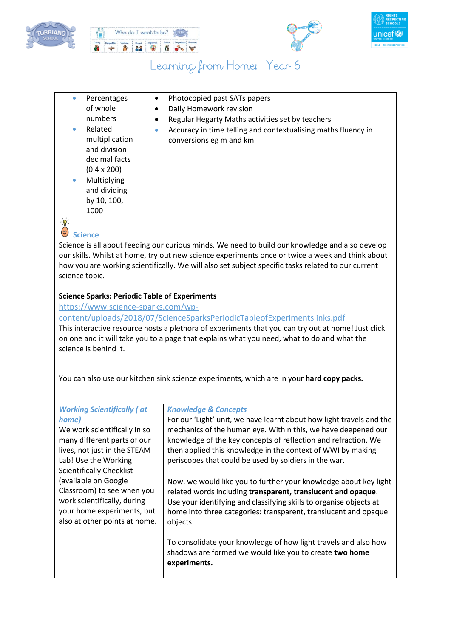







|                          | Percentages        | $\bullet$ | Photocopied past SATs papers                                  |
|--------------------------|--------------------|-----------|---------------------------------------------------------------|
|                          | of whole           | $\bullet$ | Daily Homework revision                                       |
|                          | numbers            | $\bullet$ | Regular Hegarty Maths activities set by teachers              |
|                          | Related            | ۰         | Accuracy in time telling and contextualising maths fluency in |
|                          | multiplication     |           | conversions eg m and km                                       |
|                          | and division       |           |                                                               |
|                          | decimal facts      |           |                                                               |
|                          | $(0.4 \times 200)$ |           |                                                               |
|                          | Multiplying        |           |                                                               |
|                          | and dividing       |           |                                                               |
|                          | by 10, 100,        |           |                                                               |
|                          | 1000               |           |                                                               |
| $-\overline{\mathbf{Q}}$ |                    |           |                                                               |

## Science<sup>®</sup>

Science is all about feeding our curious minds. We need to build our knowledge and also develop our skills. Whilst at home, try out new science experiments once or twice a week and think about how you are working scientifically. We will also set subject specific tasks related to our current science topic.

## **Science Sparks: Periodic Table of Experiments**

[https://www.science-sparks.com/wp-](https://www.science-sparks.com/wp-content/uploads/2018/07/ScienceSparksPeriodicTableofExperimentslinks.pdf)

[content/uploads/2018/07/ScienceSparksPeriodicTableofExperimentslinks.pdf](https://www.science-sparks.com/wp-content/uploads/2018/07/ScienceSparksPeriodicTableofExperimentslinks.pdf)

This interactive resource hosts a plethora of experiments that you can try out at home! Just click on one and it will take you to a page that explains what you need, what to do and what the science is behind it.

You can also use our kitchen sink science experiments, which are in your **hard copy packs.**

#### *Working Scientifically ( at home)*

We work scientifically in so many different parts of our lives, not just in the STEAM Lab! Use the Working Scientifically Checklist (available on Google Classroom) to see when you work scientifically, during your home experiments, but also at other points at home.

## *Knowledge & Concepts*

For our 'Light' unit, we have learnt about how light travels and the mechanics of the human eye. Within this, we have deepened our knowledge of the key concepts of reflection and refraction. We then applied this knowledge in the context of WWI by making periscopes that could be used by soldiers in the war.

Now, we would like you to further your knowledge about key light related words including **transparent, translucent and opaque**. Use your identifying and classifying skills to organise objects at home into three categories: transparent, translucent and opaque objects.

To consolidate your knowledge of how light travels and also how shadows are formed we would like you to create **two home experiments.**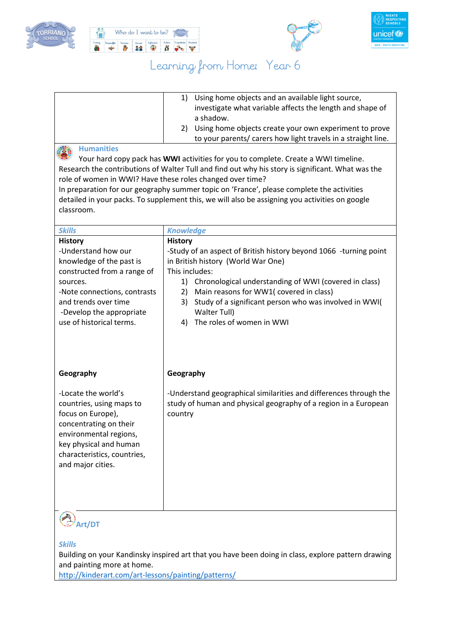







| 1) Using home objects and an available light source,<br>investigate what variable affects the length and shape of<br>a shadow.<br>Using home objects create your own experiment to prove<br>2)<br>to your parents/ carers how light travels in a straight line.<br><b>Humanities</b><br>Your hard copy pack has WWI activities for you to complete. Create a WWI timeline.<br>Research the contributions of Walter Tull and find out why his story is significant. What was the<br>role of women in WWI? Have these roles changed over time?<br>In preparation for our geography summer topic on 'France', please complete the activities<br>detailed in your packs. To supplement this, we will also be assigning you activities on google |                                                                                                                                                                                                                                                                                                                                                                             |  |  |  |  |  |  |  |  |
|---------------------------------------------------------------------------------------------------------------------------------------------------------------------------------------------------------------------------------------------------------------------------------------------------------------------------------------------------------------------------------------------------------------------------------------------------------------------------------------------------------------------------------------------------------------------------------------------------------------------------------------------------------------------------------------------------------------------------------------------|-----------------------------------------------------------------------------------------------------------------------------------------------------------------------------------------------------------------------------------------------------------------------------------------------------------------------------------------------------------------------------|--|--|--|--|--|--|--|--|
| classroom.                                                                                                                                                                                                                                                                                                                                                                                                                                                                                                                                                                                                                                                                                                                                  |                                                                                                                                                                                                                                                                                                                                                                             |  |  |  |  |  |  |  |  |
| <b>Skills</b>                                                                                                                                                                                                                                                                                                                                                                                                                                                                                                                                                                                                                                                                                                                               | <b>Knowledge</b>                                                                                                                                                                                                                                                                                                                                                            |  |  |  |  |  |  |  |  |
| <b>History</b><br>-Understand how our<br>knowledge of the past is<br>constructed from a range of<br>sources.<br>-Note connections, contrasts<br>and trends over time<br>-Develop the appropriate<br>use of historical terms.                                                                                                                                                                                                                                                                                                                                                                                                                                                                                                                | <b>History</b><br>-Study of an aspect of British history beyond 1066 -turning point<br>in British history (World War One)<br>This includes:<br>1) Chronological understanding of WWI (covered in class)<br>Main reasons for WW1( covered in class)<br>2)<br>Study of a significant person who was involved in WWI(<br>3)<br>Walter Tull)<br>The roles of women in WWI<br>4) |  |  |  |  |  |  |  |  |
| Geography<br>-Locate the world's<br>countries, using maps to<br>focus on Europe),<br>concentrating on their<br>environmental regions,<br>key physical and human<br>characteristics, countries,<br>and major cities.<br>Art/DT                                                                                                                                                                                                                                                                                                                                                                                                                                                                                                               | Geography<br>-Understand geographical similarities and differences through the<br>study of human and physical geography of a region in a European<br>country                                                                                                                                                                                                                |  |  |  |  |  |  |  |  |

### *Skills*

Building on your Kandinsky inspired art that you have been doing in class, explore pattern drawing and painting more at home.

<http://kinderart.com/art-lessons/painting/patterns/>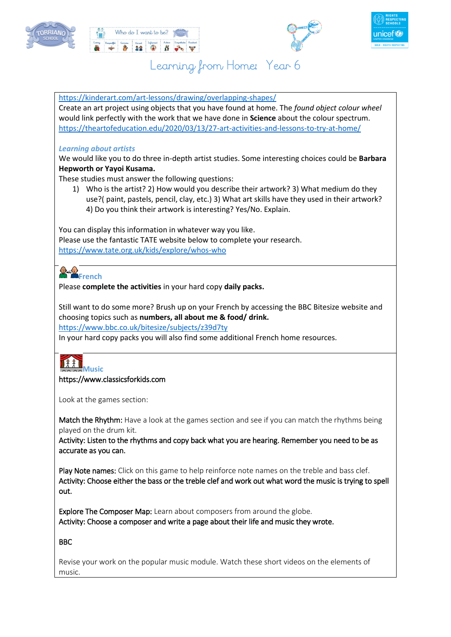







| https://kinderart.com/art-lessons/drawing/overlapping-shapes/                                           |
|---------------------------------------------------------------------------------------------------------|
| Create an art project using objects that you have found at home. The found object colour wheel          |
| would link perfectly with the work that we have done in Science about the colour spectrum.              |
| https://theartofeducation.edu/2020/03/13/27-art-activities-and-lessons-to-try-at-home/                  |
|                                                                                                         |
| <b>Learning about artists</b>                                                                           |
| We would like you to do three in-depth artist studies. Some interesting choices could be Barbara        |
| Hepworth or Yayoi Kusama.                                                                               |
| These studies must answer the following questions:                                                      |
| Who is the artist? 2) How would you describe their artwork? 3) What medium do they<br>1)                |
|                                                                                                         |
| use?(paint, pastels, pencil, clay, etc.) 3) What art skills have they used in their artwork?            |
| 4) Do you think their artwork is interesting? Yes/No. Explain.                                          |
|                                                                                                         |
| You can display this information in whatever way you like.                                              |
| Please use the fantastic TATE website below to complete your research.                                  |
| https://www.tate.org.uk/kids/explore/whos-who                                                           |
|                                                                                                         |
| $\bigcirc$ $\oplus$<br><b>D</b> French                                                                  |
|                                                                                                         |
| Please complete the activities in your hard copy daily packs.                                           |
|                                                                                                         |
| Still want to do some more? Brush up on your French by accessing the BBC Bitesize website and           |
| choosing topics such as numbers, all about me & food/ drink.                                            |
| https://www.bbc.co.uk/bitesize/subjects/z39d7ty                                                         |
| In your hard copy packs you will also find some additional French home resources.                       |
|                                                                                                         |
|                                                                                                         |
| <b>EMusic</b>                                                                                           |
| https://www.classicsforkids.com                                                                         |
|                                                                                                         |
| Look at the games section:                                                                              |
|                                                                                                         |
| Match the Rhythm: Have a look at the games section and see if you can match the rhythms being           |
| played on the drum kit.                                                                                 |
| Activity: Listen to the rhythms and copy back what you are hearing. Remember you need to be as          |
|                                                                                                         |
| accurate as you can.                                                                                    |
|                                                                                                         |
| Play Note names: Click on this game to help reinforce note names on the treble and bass clef.           |
| Activity: Choose either the bass or the treble clef and work out what word the music is trying to spell |
| out.                                                                                                    |

Explore The Composer Map: Learn about composers from around the globe. Activity: Choose a composer and write a page about their life and music they wrote.

BBC

Revise your work on the popular music module. Watch these short videos on the elements of music.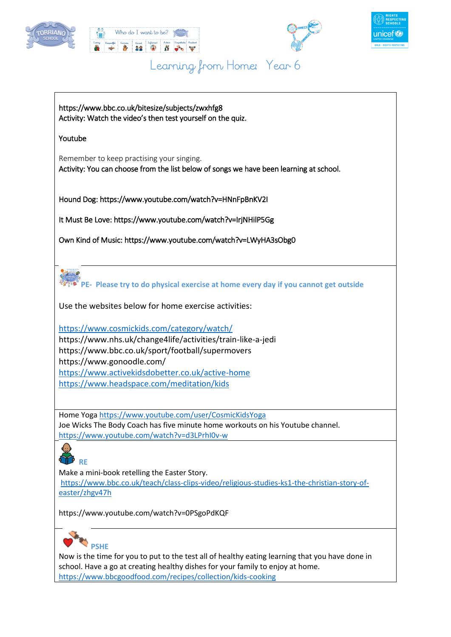







https://www.bbc.co.uk/bitesize/subjects/zwxhfg8 Activity: Watch the video's then test yourself on the quiz.

### Youtube

Remember to keep practising your singing. Activity: You can choose from the list below of songs we have been learning at school.

Hound Dog: https://www.youtube.com/watch?v=HNnFpBnKV2I

It Must Be Love: https://www.youtube.com/watch?v=IrjNHilP5Gg

Own Kind of Music: https://www.youtube.com/watch?v=LWyHA3sObg0

**PE- Please try to do physical exercise at home every day if you cannot get outside**

Use the websites below for home exercise activities:

<https://www.cosmickids.com/category/watch/>

https://www.nhs.uk/change4life/activities/train-like-a-jedi https://www.bbc.co.uk/sport/football/supermovers https://www.gonoodle.com/ <https://www.activekidsdobetter.co.uk/active-home> <https://www.headspace.com/meditation/kids>

Home Yoga<https://www.youtube.com/user/CosmicKidsYoga> Joe Wicks The Body Coach has five minute home workouts on his Youtube channel. <https://www.youtube.com/watch?v=d3LPrhI0v-w>



Make a mini-book retelling the Easter Story.

[https://www.bbc.co.uk/teach/class-clips-video/religious-studies-ks1-the-christian-story-of](https://www.bbc.co.uk/teach/class-clips-video/religious-studies-ks1-the-christian-story-of-easter/zhgv47h)[easter/zhgv47h](https://www.bbc.co.uk/teach/class-clips-video/religious-studies-ks1-the-christian-story-of-easter/zhgv47h)

https://www.youtube.com/watch?v=0PSgoPdKQF



Now is the time for you to put to the test all of healthy eating learning that you have done in school. Have a go at creating healthy dishes for your family to enjoy at home. <https://www.bbcgoodfood.com/recipes/collection/kids-cooking>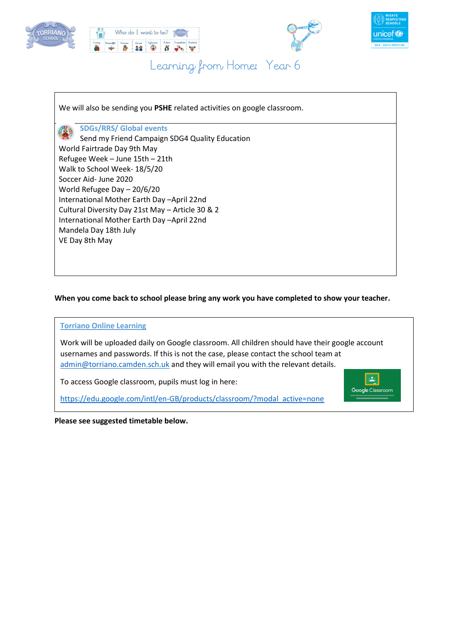







We will also be sending you **PSHE** related activities on google classroom.

**SDGs/RRS/ Global events**  Send my Friend Campaign SDG4 Quality Education World Fairtrade Day 9th May Refugee Week – June 15th – 21th Walk to School Week- 18/5/20 Soccer Aid- June 2020 World Refugee Day – 20/6/20 International Mother Earth Day –April 22nd Cultural Diversity Day 21st May – Article 30 & 2 International Mother Earth Day –April 22nd Mandela Day 18th July VE Day 8th May

## **When you come back to school please bring any work you have completed to show your teacher.**

#### **Torriano Online Learning**

Work will be uploaded daily on Google classroom. All children should have their google account usernames and passwords. If this is not the case, please contact the school team at [admin@torriano.camden.sch.uk](mailto:%20admin@torriano.camden.sch.uk) and they will email you with the relevant details.

To access Google classroom, pupils must log in here:

[https://edu.google.com/intl/en-GB/products/classroom/?modal\\_active=none](https://edu.google.com/intl/en-GB/products/classroom/?modal_active=none)



**Please see suggested timetable below.**<br> **These will need their use on and their use on and their contracts** password.